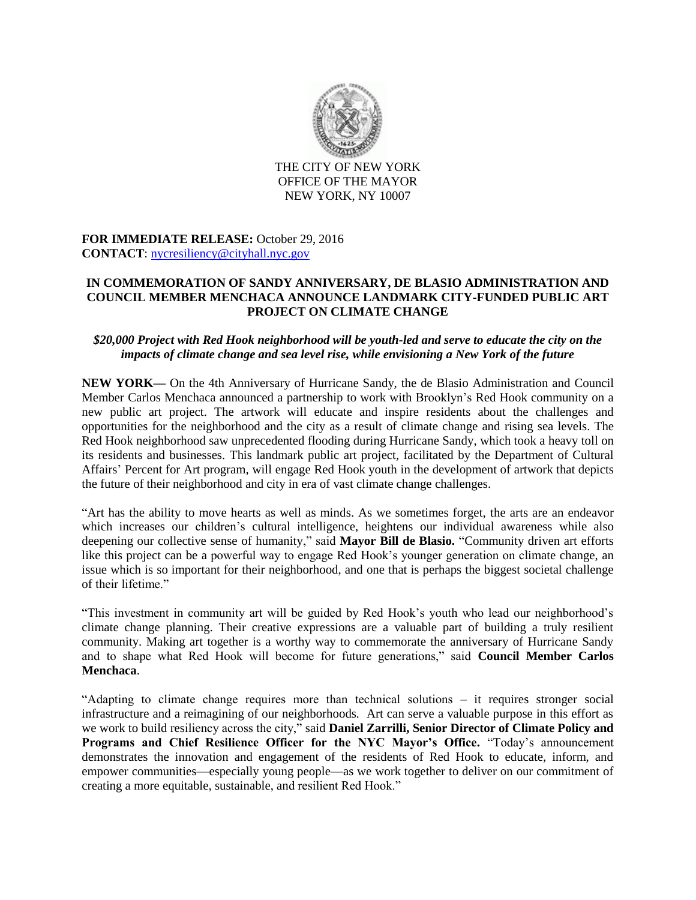

THE CITY OF NEW YORK OFFICE OF THE MAYOR NEW YORK, NY 10007

**FOR IMMEDIATE RELEASE:** October 29, 2016 **CONTACT**: [nycresiliency@cityhall.nyc.gov](mailto:nycresiliency@cityhall.nyc.gov)

## **IN COMMEMORATION OF SANDY ANNIVERSARY, DE BLASIO ADMINISTRATION AND COUNCIL MEMBER MENCHACA ANNOUNCE LANDMARK CITY-FUNDED PUBLIC ART PROJECT ON CLIMATE CHANGE**

## *\$20,000 Project with Red Hook neighborhood will be youth-led and serve to educate the city on the impacts of climate change and sea level rise, while envisioning a New York of the future*

**NEW YORK––** On the 4th Anniversary of Hurricane Sandy, the de Blasio Administration and Council Member Carlos Menchaca announced a partnership to work with Brooklyn's Red Hook community on a new public art project. The artwork will educate and inspire residents about the challenges and opportunities for the neighborhood and the city as a result of climate change and rising sea levels. The Red Hook neighborhood saw unprecedented flooding during Hurricane Sandy, which took a heavy toll on its residents and businesses. This landmark public art project, facilitated by the Department of Cultural Affairs' Percent for Art program, will engage Red Hook youth in the development of artwork that depicts the future of their neighborhood and city in era of vast climate change challenges.

"Art has the ability to move hearts as well as minds. As we sometimes forget, the arts are an endeavor which increases our children's cultural intelligence, heightens our individual awareness while also deepening our collective sense of humanity," said **Mayor Bill de Blasio.** "Community driven art efforts like this project can be a powerful way to engage Red Hook's younger generation on climate change, an issue which is so important for their neighborhood, and one that is perhaps the biggest societal challenge of their lifetime."

"This investment in community art will be guided by Red Hook's youth who lead our neighborhood's climate change planning. Their creative expressions are a valuable part of building a truly resilient community. Making art together is a worthy way to commemorate the anniversary of Hurricane Sandy and to shape what Red Hook will become for future generations," said **Council Member Carlos Menchaca**.

"Adapting to climate change requires more than technical solutions – it requires stronger social infrastructure and a reimagining of our neighborhoods. Art can serve a valuable purpose in this effort as we work to build resiliency across the city," said **Daniel Zarrilli, Senior Director of Climate Policy and Programs and Chief Resilience Officer for the NYC Mayor's Office.** "Today's announcement demonstrates the innovation and engagement of the residents of Red Hook to educate, inform, and empower communities—especially young people—as we work together to deliver on our commitment of creating a more equitable, sustainable, and resilient Red Hook."